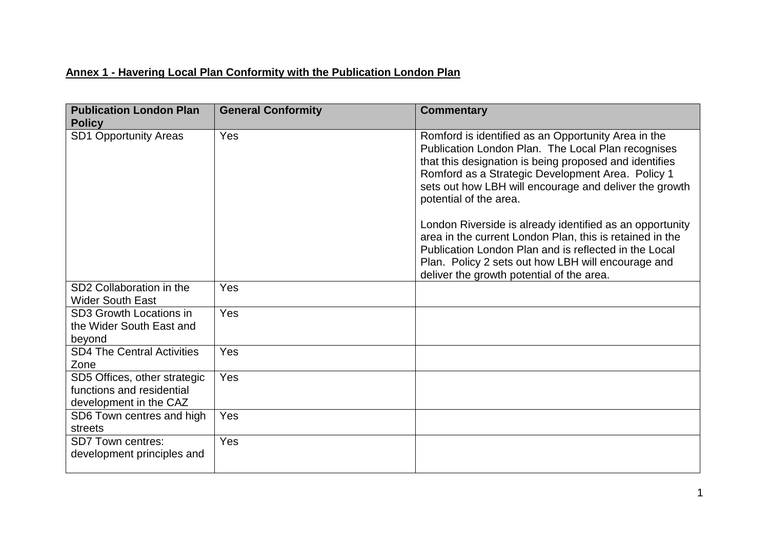## **Annex 1 - Havering Local Plan Conformity with the Publication London Plan**

| <b>Publication London Plan</b><br><b>Policy</b>                                     | <b>General Conformity</b> | <b>Commentary</b>                                                                                                                                                                                                                                                                                                                                                                                                                                                                                                                                   |
|-------------------------------------------------------------------------------------|---------------------------|-----------------------------------------------------------------------------------------------------------------------------------------------------------------------------------------------------------------------------------------------------------------------------------------------------------------------------------------------------------------------------------------------------------------------------------------------------------------------------------------------------------------------------------------------------|
| <b>SD1 Opportunity Areas</b>                                                        | Yes                       | Romford is identified as an Opportunity Area in the<br>Publication London Plan. The Local Plan recognises<br>that this designation is being proposed and identifies<br>Romford as a Strategic Development Area. Policy 1<br>sets out how LBH will encourage and deliver the growth<br>potential of the area.<br>London Riverside is already identified as an opportunity<br>area in the current London Plan, this is retained in the<br>Publication London Plan and is reflected in the Local<br>Plan. Policy 2 sets out how LBH will encourage and |
|                                                                                     |                           | deliver the growth potential of the area.                                                                                                                                                                                                                                                                                                                                                                                                                                                                                                           |
| SD <sub>2</sub> Collaboration in the<br><b>Wider South East</b>                     | Yes                       |                                                                                                                                                                                                                                                                                                                                                                                                                                                                                                                                                     |
| SD3 Growth Locations in<br>the Wider South East and<br>beyond                       | Yes                       |                                                                                                                                                                                                                                                                                                                                                                                                                                                                                                                                                     |
| <b>SD4 The Central Activities</b><br>Zone                                           | Yes                       |                                                                                                                                                                                                                                                                                                                                                                                                                                                                                                                                                     |
| SD5 Offices, other strategic<br>functions and residential<br>development in the CAZ | Yes                       |                                                                                                                                                                                                                                                                                                                                                                                                                                                                                                                                                     |
| SD6 Town centres and high<br>streets                                                | Yes                       |                                                                                                                                                                                                                                                                                                                                                                                                                                                                                                                                                     |
| <b>SD7 Town centres:</b><br>development principles and                              | Yes                       |                                                                                                                                                                                                                                                                                                                                                                                                                                                                                                                                                     |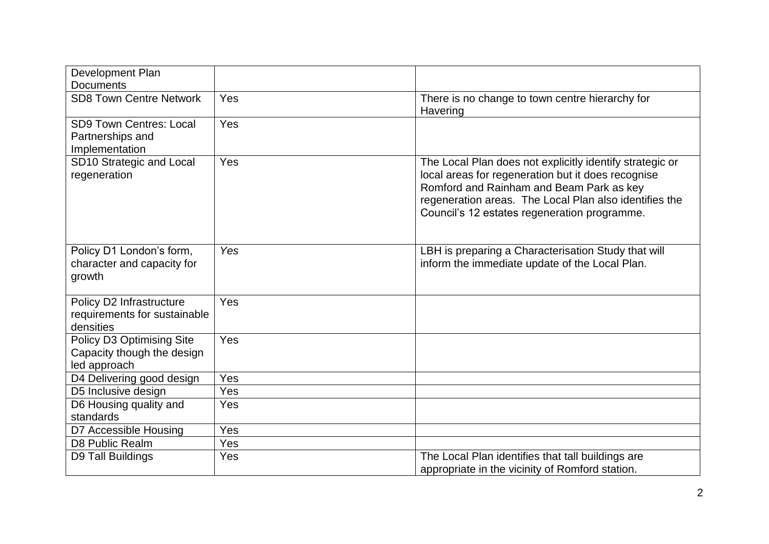| Development Plan                                                        |            |                                                                                                                                                                                                                                                                      |
|-------------------------------------------------------------------------|------------|----------------------------------------------------------------------------------------------------------------------------------------------------------------------------------------------------------------------------------------------------------------------|
| <b>Documents</b>                                                        |            |                                                                                                                                                                                                                                                                      |
| <b>SD8 Town Centre Network</b>                                          | Yes        | There is no change to town centre hierarchy for<br>Havering                                                                                                                                                                                                          |
| <b>SD9 Town Centres: Local</b><br>Partnerships and<br>Implementation    | Yes        |                                                                                                                                                                                                                                                                      |
| SD10 Strategic and Local<br>regeneration                                | Yes        | The Local Plan does not explicitly identify strategic or<br>local areas for regeneration but it does recognise<br>Romford and Rainham and Beam Park as key<br>regeneration areas. The Local Plan also identifies the<br>Council's 12 estates regeneration programme. |
| Policy D1 London's form,<br>character and capacity for<br>growth        | Yes        | LBH is preparing a Characterisation Study that will<br>inform the immediate update of the Local Plan.                                                                                                                                                                |
| Policy D2 Infrastructure<br>requirements for sustainable<br>densities   | Yes        |                                                                                                                                                                                                                                                                      |
| Policy D3 Optimising Site<br>Capacity though the design<br>led approach | Yes        |                                                                                                                                                                                                                                                                      |
| D4 Delivering good design                                               | Yes        |                                                                                                                                                                                                                                                                      |
| D5 Inclusive design                                                     | Yes        |                                                                                                                                                                                                                                                                      |
| D6 Housing quality and<br>standards                                     | Yes        |                                                                                                                                                                                                                                                                      |
| D7 Accessible Housing                                                   | Yes        |                                                                                                                                                                                                                                                                      |
| D8 Public Realm                                                         | Yes        |                                                                                                                                                                                                                                                                      |
| D9 Tall Buildings                                                       | <b>Yes</b> | The Local Plan identifies that tall buildings are<br>appropriate in the vicinity of Romford station.                                                                                                                                                                 |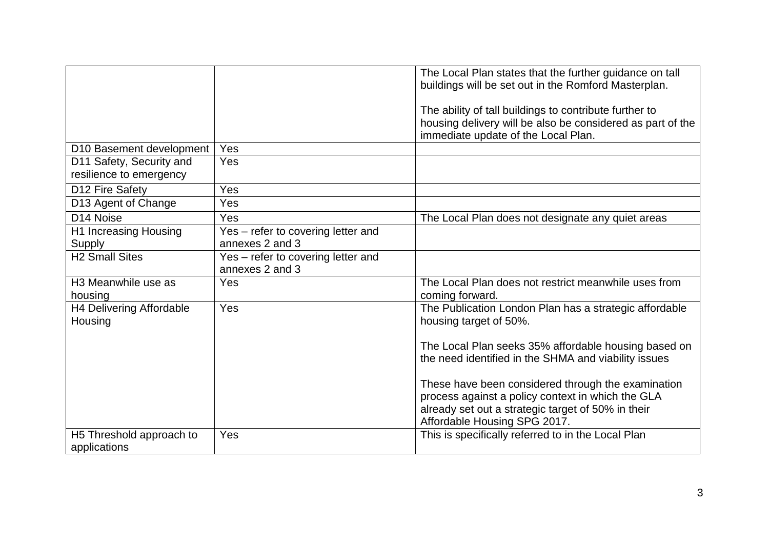|                                                     |                                                       | The Local Plan states that the further guidance on tall<br>buildings will be set out in the Romford Masterplan.                                                                               |
|-----------------------------------------------------|-------------------------------------------------------|-----------------------------------------------------------------------------------------------------------------------------------------------------------------------------------------------|
|                                                     |                                                       | The ability of tall buildings to contribute further to<br>housing delivery will be also be considered as part of the<br>immediate update of the Local Plan.                                   |
| D10 Basement development                            | Yes                                                   |                                                                                                                                                                                               |
| D11 Safety, Security and<br>resilience to emergency | Yes                                                   |                                                                                                                                                                                               |
| D12 Fire Safety                                     | Yes                                                   |                                                                                                                                                                                               |
| D13 Agent of Change                                 | Yes                                                   |                                                                                                                                                                                               |
| D <sub>14</sub> Noise                               | Yes                                                   | The Local Plan does not designate any quiet areas                                                                                                                                             |
| H1 Increasing Housing                               | Yes - refer to covering letter and                    |                                                                                                                                                                                               |
| Supply                                              | annexes 2 and 3                                       |                                                                                                                                                                                               |
| <b>H2 Small Sites</b>                               | Yes - refer to covering letter and<br>annexes 2 and 3 |                                                                                                                                                                                               |
| H <sub>3</sub> Meanwhile use as<br>housing          | Yes                                                   | The Local Plan does not restrict meanwhile uses from<br>coming forward.                                                                                                                       |
| H4 Delivering Affordable<br>Housing                 | Yes                                                   | The Publication London Plan has a strategic affordable<br>housing target of 50%.                                                                                                              |
|                                                     |                                                       | The Local Plan seeks 35% affordable housing based on<br>the need identified in the SHMA and viability issues                                                                                  |
|                                                     |                                                       | These have been considered through the examination<br>process against a policy context in which the GLA<br>already set out a strategic target of 50% in their<br>Affordable Housing SPG 2017. |
| H5 Threshold approach to<br>applications            | Yes                                                   | This is specifically referred to in the Local Plan                                                                                                                                            |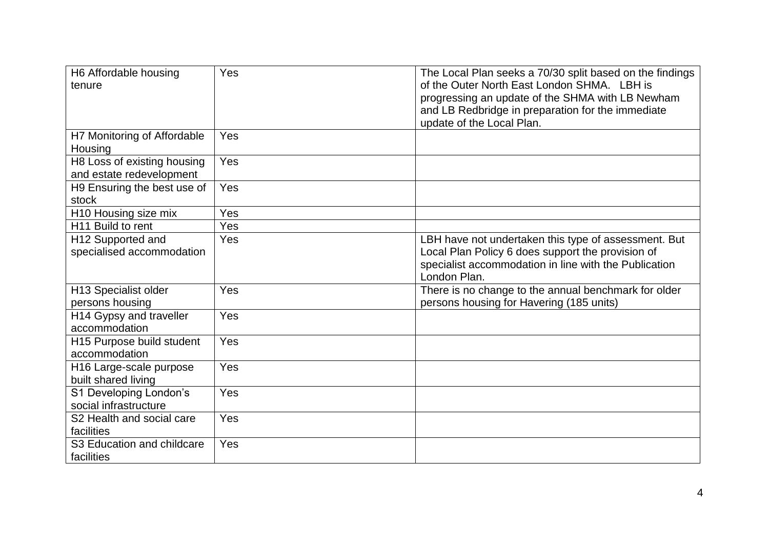| H6 Affordable housing<br>tenure                         | Yes | The Local Plan seeks a 70/30 split based on the findings<br>of the Outer North East London SHMA. LBH is<br>progressing an update of the SHMA with LB Newham<br>and LB Redbridge in preparation for the immediate<br>update of the Local Plan. |
|---------------------------------------------------------|-----|-----------------------------------------------------------------------------------------------------------------------------------------------------------------------------------------------------------------------------------------------|
| H7 Monitoring of Affordable<br>Housing                  | Yes |                                                                                                                                                                                                                                               |
| H8 Loss of existing housing<br>and estate redevelopment | Yes |                                                                                                                                                                                                                                               |
| H9 Ensuring the best use of<br>stock                    | Yes |                                                                                                                                                                                                                                               |
| H10 Housing size mix                                    | Yes |                                                                                                                                                                                                                                               |
| H <sub>11</sub> Build to rent                           | Yes |                                                                                                                                                                                                                                               |
| H12 Supported and<br>specialised accommodation          | Yes | LBH have not undertaken this type of assessment. But<br>Local Plan Policy 6 does support the provision of<br>specialist accommodation in line with the Publication<br>London Plan.                                                            |
| H13 Specialist older<br>persons housing                 | Yes | There is no change to the annual benchmark for older<br>persons housing for Havering (185 units)                                                                                                                                              |
| H14 Gypsy and traveller<br>accommodation                | Yes |                                                                                                                                                                                                                                               |
| H15 Purpose build student<br>accommodation              | Yes |                                                                                                                                                                                                                                               |
| H16 Large-scale purpose<br>built shared living          | Yes |                                                                                                                                                                                                                                               |
| S1 Developing London's<br>social infrastructure         | Yes |                                                                                                                                                                                                                                               |
| S2 Health and social care<br>facilities                 | Yes |                                                                                                                                                                                                                                               |
| S3 Education and childcare<br>facilities                | Yes |                                                                                                                                                                                                                                               |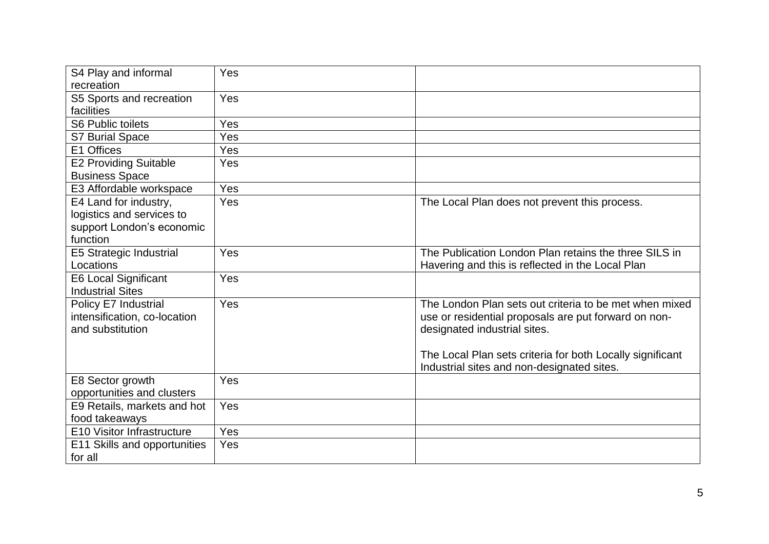| S4 Play and informal         | Yes |                                                           |
|------------------------------|-----|-----------------------------------------------------------|
| recreation                   |     |                                                           |
| S5 Sports and recreation     | Yes |                                                           |
| facilities                   |     |                                                           |
| <b>S6 Public toilets</b>     | Yes |                                                           |
| <b>S7 Burial Space</b>       | Yes |                                                           |
| E1 Offices                   | Yes |                                                           |
| <b>E2 Providing Suitable</b> | Yes |                                                           |
| <b>Business Space</b>        |     |                                                           |
| E3 Affordable workspace      | Yes |                                                           |
| E4 Land for industry,        | Yes | The Local Plan does not prevent this process.             |
| logistics and services to    |     |                                                           |
| support London's economic    |     |                                                           |
| function                     |     |                                                           |
| E5 Strategic Industrial      | Yes | The Publication London Plan retains the three SILS in     |
| Locations                    |     | Havering and this is reflected in the Local Plan          |
| <b>E6 Local Significant</b>  | Yes |                                                           |
| <b>Industrial Sites</b>      |     |                                                           |
| Policy E7 Industrial         | Yes | The London Plan sets out criteria to be met when mixed    |
| intensification, co-location |     | use or residential proposals are put forward on non-      |
| and substitution             |     | designated industrial sites.                              |
|                              |     |                                                           |
|                              |     | The Local Plan sets criteria for both Locally significant |
|                              |     | Industrial sites and non-designated sites.                |
| E8 Sector growth             | Yes |                                                           |
| opportunities and clusters   |     |                                                           |
| E9 Retails, markets and hot  | Yes |                                                           |
| food takeaways               |     |                                                           |
| E10 Visitor Infrastructure   | Yes |                                                           |
| E11 Skills and opportunities | Yes |                                                           |
| for all                      |     |                                                           |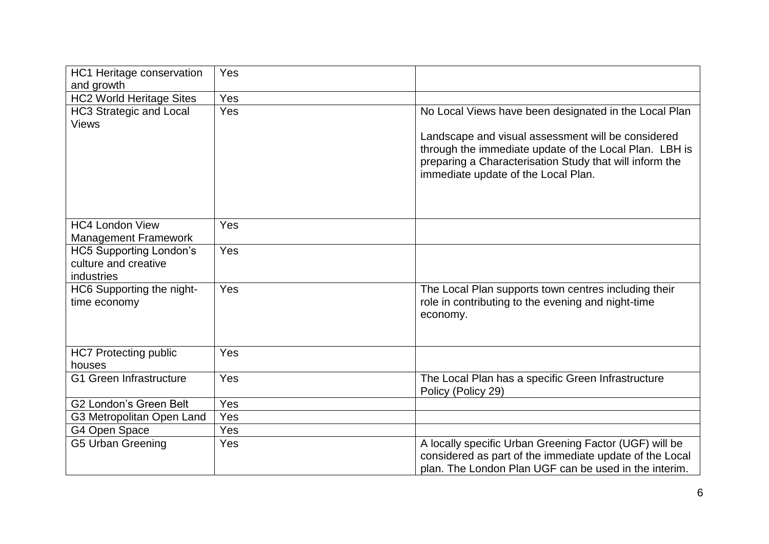| HC1 Heritage conservation                 | Yes |                                                                                                                                                                                                                |
|-------------------------------------------|-----|----------------------------------------------------------------------------------------------------------------------------------------------------------------------------------------------------------------|
| and growth                                |     |                                                                                                                                                                                                                |
| <b>HC2 World Heritage Sites</b>           | Yes |                                                                                                                                                                                                                |
| <b>HC3 Strategic and Local</b>            | Yes | No Local Views have been designated in the Local Plan                                                                                                                                                          |
| <b>Views</b>                              |     |                                                                                                                                                                                                                |
|                                           |     | Landscape and visual assessment will be considered<br>through the immediate update of the Local Plan. LBH is<br>preparing a Characterisation Study that will inform the<br>immediate update of the Local Plan. |
| <b>HC4 London View</b>                    | Yes |                                                                                                                                                                                                                |
| <b>Management Framework</b>               |     |                                                                                                                                                                                                                |
| <b>HC5 Supporting London's</b>            | Yes |                                                                                                                                                                                                                |
| culture and creative                      |     |                                                                                                                                                                                                                |
| industries                                |     |                                                                                                                                                                                                                |
| HC6 Supporting the night-<br>time economy | Yes | The Local Plan supports town centres including their<br>role in contributing to the evening and night-time<br>economy.                                                                                         |
| <b>HC7 Protecting public</b>              | Yes |                                                                                                                                                                                                                |
| houses                                    |     |                                                                                                                                                                                                                |
| <b>G1 Green Infrastructure</b>            | Yes | The Local Plan has a specific Green Infrastructure<br>Policy (Policy 29)                                                                                                                                       |
| <b>G2 London's Green Belt</b>             | Yes |                                                                                                                                                                                                                |
| G3 Metropolitan Open Land                 | Yes |                                                                                                                                                                                                                |
| G4 Open Space                             | Yes |                                                                                                                                                                                                                |
| <b>G5 Urban Greening</b>                  | Yes | A locally specific Urban Greening Factor (UGF) will be<br>considered as part of the immediate update of the Local<br>plan. The London Plan UGF can be used in the interim.                                     |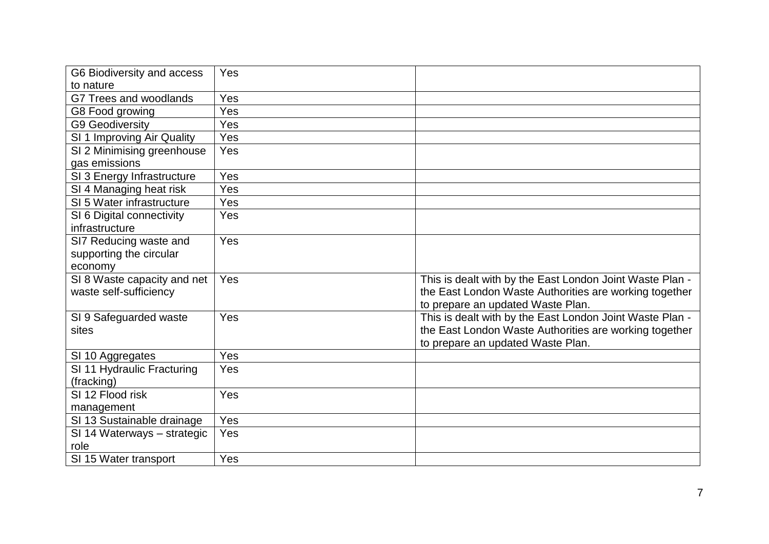| G6 Biodiversity and access  | Yes |                                                          |
|-----------------------------|-----|----------------------------------------------------------|
| to nature                   |     |                                                          |
| G7 Trees and woodlands      | Yes |                                                          |
| G8 Food growing             | Yes |                                                          |
| <b>G9 Geodiversity</b>      | Yes |                                                          |
| SI 1 Improving Air Quality  | Yes |                                                          |
| SI 2 Minimising greenhouse  | Yes |                                                          |
| gas emissions               |     |                                                          |
| SI 3 Energy Infrastructure  | Yes |                                                          |
| SI 4 Managing heat risk     | Yes |                                                          |
| SI 5 Water infrastructure   | Yes |                                                          |
| SI 6 Digital connectivity   | Yes |                                                          |
| infrastructure              |     |                                                          |
| SI7 Reducing waste and      | Yes |                                                          |
| supporting the circular     |     |                                                          |
| economy                     |     |                                                          |
| SI 8 Waste capacity and net | Yes | This is dealt with by the East London Joint Waste Plan - |
| waste self-sufficiency      |     | the East London Waste Authorities are working together   |
|                             |     | to prepare an updated Waste Plan.                        |
| SI 9 Safeguarded waste      | Yes | This is dealt with by the East London Joint Waste Plan - |
| sites                       |     | the East London Waste Authorities are working together   |
|                             |     | to prepare an updated Waste Plan.                        |
| SI 10 Aggregates            | Yes |                                                          |
| SI 11 Hydraulic Fracturing  | Yes |                                                          |
| (fracking)                  |     |                                                          |
| SI 12 Flood risk            | Yes |                                                          |
| management                  |     |                                                          |
| SI 13 Sustainable drainage  | Yes |                                                          |
| SI 14 Waterways - strategic | Yes |                                                          |
| role                        |     |                                                          |
| SI 15 Water transport       | Yes |                                                          |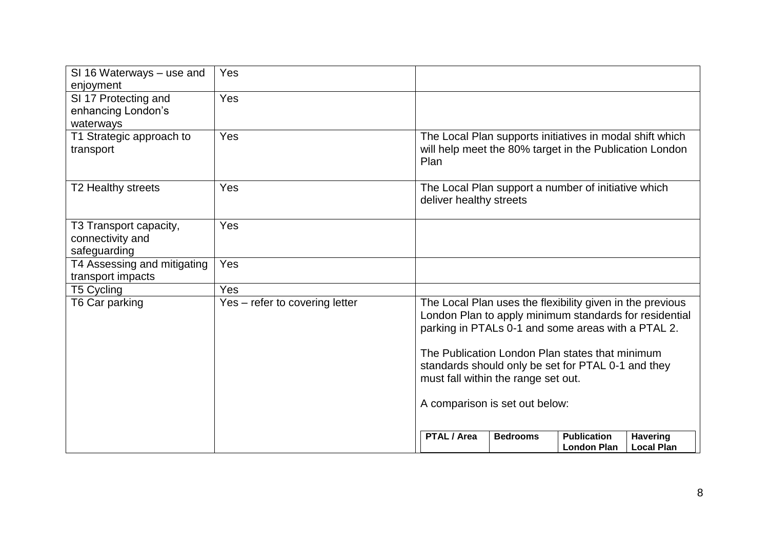| SI 16 Waterways – use and<br>enjoyment                     | Yes                            |                         |                                                                       |                                                                                                                                                                                                                                                                                    |                                      |
|------------------------------------------------------------|--------------------------------|-------------------------|-----------------------------------------------------------------------|------------------------------------------------------------------------------------------------------------------------------------------------------------------------------------------------------------------------------------------------------------------------------------|--------------------------------------|
| SI 17 Protecting and<br>enhancing London's<br>waterways    | Yes                            |                         |                                                                       |                                                                                                                                                                                                                                                                                    |                                      |
| T1 Strategic approach to<br>transport                      | Yes                            | Plan                    |                                                                       | The Local Plan supports initiatives in modal shift which<br>will help meet the 80% target in the Publication London                                                                                                                                                                |                                      |
| T2 Healthy streets                                         | Yes                            | deliver healthy streets |                                                                       | The Local Plan support a number of initiative which                                                                                                                                                                                                                                |                                      |
| T3 Transport capacity,<br>connectivity and<br>safeguarding | Yes                            |                         |                                                                       |                                                                                                                                                                                                                                                                                    |                                      |
| T4 Assessing and mitigating<br>transport impacts           | Yes                            |                         |                                                                       |                                                                                                                                                                                                                                                                                    |                                      |
| T5 Cycling                                                 | Yes                            |                         |                                                                       |                                                                                                                                                                                                                                                                                    |                                      |
| T6 Car parking                                             | Yes – refer to covering letter |                         | must fall within the range set out.<br>A comparison is set out below: | The Local Plan uses the flexibility given in the previous<br>London Plan to apply minimum standards for residential<br>parking in PTALs 0-1 and some areas with a PTAL 2.<br>The Publication London Plan states that minimum<br>standards should only be set for PTAL 0-1 and they |                                      |
|                                                            |                                | PTAL / Area             | <b>Bedrooms</b>                                                       | <b>Publication</b><br><b>London Plan</b>                                                                                                                                                                                                                                           | <b>Havering</b><br><b>Local Plan</b> |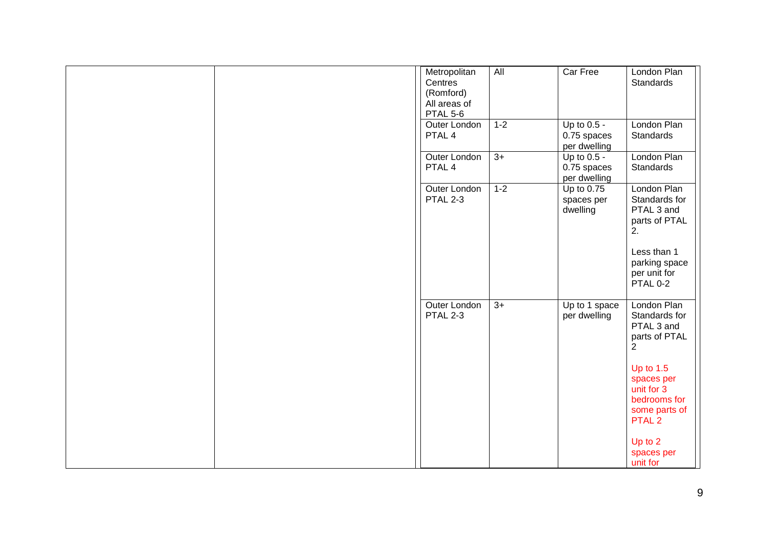| Metropolitan<br>Centres<br>(Romford)<br>All areas of<br>PTAL 5-6 | $\overline{All}$ | Car Free                                     | London Plan<br><b>Standards</b>                                                                                                                                                                                       |
|------------------------------------------------------------------|------------------|----------------------------------------------|-----------------------------------------------------------------------------------------------------------------------------------------------------------------------------------------------------------------------|
| <b>Outer London</b><br>PTAL 4                                    | $1 - 2$          | Up to $0.5 -$<br>0.75 spaces<br>per dwelling | London Plan<br>Standards                                                                                                                                                                                              |
| Outer London<br>PTAL 4                                           | $3+$             | Up to 0.5 -<br>0.75 spaces<br>per dwelling   | London Plan<br>Standards                                                                                                                                                                                              |
| Outer London<br>PTAL 2-3                                         | $1 - 2$          | Up to 0.75<br>spaces per<br>dwelling         | London Plan<br>Standards for<br>PTAL 3 and<br>parts of PTAL<br>2.<br>Less than 1<br>parking space<br>per unit for<br>PTAL 0-2                                                                                         |
| Outer London<br>PTAL 2-3                                         | $3+$             | Up to 1 space<br>per dwelling                | London Plan<br>Standards for<br>PTAL 3 and<br>parts of PTAL<br>$\overline{2}$<br>Up to $1.5$<br>spaces per<br>unit for 3<br>bedrooms for<br>some parts of<br>PTAL <sub>2</sub><br>Up to $2$<br>spaces per<br>unit for |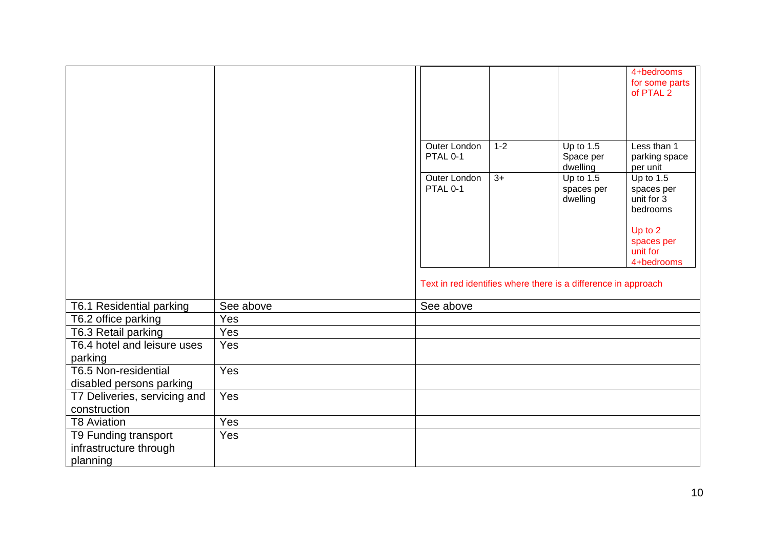|                              |           |              |                                                                |             | 4+bedrooms     |
|------------------------------|-----------|--------------|----------------------------------------------------------------|-------------|----------------|
|                              |           |              |                                                                |             | for some parts |
|                              |           |              |                                                                |             | of PTAL 2      |
|                              |           |              |                                                                |             |                |
|                              |           |              |                                                                |             |                |
|                              |           |              |                                                                |             |                |
|                              |           |              |                                                                |             |                |
|                              |           | Outer London | $1 - 2$                                                        | Up to $1.5$ | Less than 1    |
|                              |           | PTAL 0-1     |                                                                | Space per   | parking space  |
|                              |           |              |                                                                | dwelling    | per unit       |
|                              |           | Outer London | $3+$                                                           | Up to $1.5$ | Up to $1.5$    |
|                              |           | PTAL 0-1     |                                                                | spaces per  | spaces per     |
|                              |           |              |                                                                | dwelling    | unit for 3     |
|                              |           |              |                                                                |             | bedrooms       |
|                              |           |              |                                                                |             | Up to 2        |
|                              |           |              |                                                                |             | spaces per     |
|                              |           |              |                                                                |             | unit for       |
|                              |           |              |                                                                |             | 4+bedrooms     |
|                              |           |              |                                                                |             |                |
|                              |           |              | Text in red identifies where there is a difference in approach |             |                |
|                              |           |              |                                                                |             |                |
| T6.1 Residential parking     | See above | See above    |                                                                |             |                |
| T6.2 office parking          | Yes       |              |                                                                |             |                |
| T6.3 Retail parking          | Yes       |              |                                                                |             |                |
| T6.4 hotel and leisure uses  | Yes       |              |                                                                |             |                |
| parking                      |           |              |                                                                |             |                |
| T6.5 Non-residential         | Yes       |              |                                                                |             |                |
| disabled persons parking     |           |              |                                                                |             |                |
| T7 Deliveries, servicing and | Yes       |              |                                                                |             |                |
| construction                 |           |              |                                                                |             |                |
| <b>T8 Aviation</b>           | Yes       |              |                                                                |             |                |
| T9 Funding transport         | Yes       |              |                                                                |             |                |
| infrastructure through       |           |              |                                                                |             |                |
| planning                     |           |              |                                                                |             |                |
|                              |           |              |                                                                |             |                |